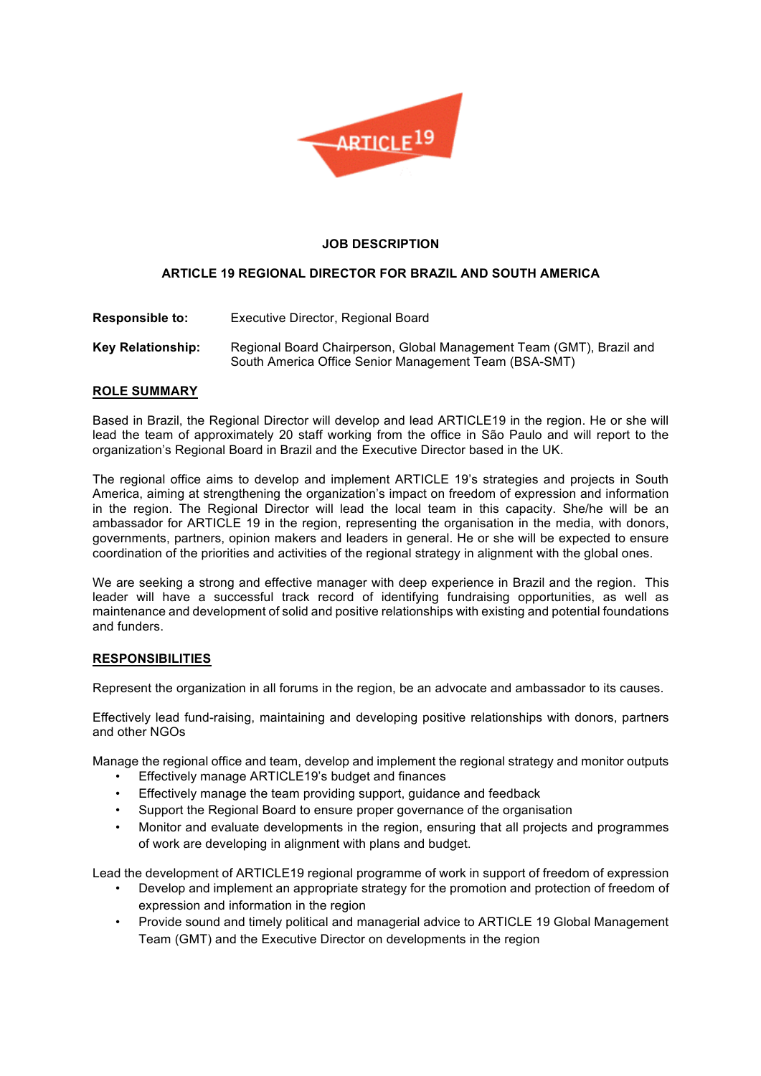

## **JOB DESCRIPTION**

# **ARTICLE 19 REGIONAL DIRECTOR FOR BRAZIL AND SOUTH AMERICA**

- **Responsible to:** Executive Director, Regional Board
- **Key Relationship:** Regional Board Chairperson, Global Management Team (GMT), Brazil and South America Office Senior Management Team (BSA-SMT)

## **ROLE SUMMARY**

Based in Brazil, the Regional Director will develop and lead ARTICLE19 in the region. He or she will lead the team of approximately 20 staff working from the office in São Paulo and will report to the organization's Regional Board in Brazil and the Executive Director based in the UK.

The regional office aims to develop and implement ARTICLE 19's strategies and projects in South America, aiming at strengthening the organization's impact on freedom of expression and information in the region. The Regional Director will lead the local team in this capacity. She/he will be an ambassador for ARTICLE 19 in the region, representing the organisation in the media, with donors, governments, partners, opinion makers and leaders in general. He or she will be expected to ensure coordination of the priorities and activities of the regional strategy in alignment with the global ones.

We are seeking a strong and effective manager with deep experience in Brazil and the region. This leader will have a successful track record of identifying fundraising opportunities, as well as maintenance and development of solid and positive relationships with existing and potential foundations and funders.

## **RESPONSIBILITIES**

Represent the organization in all forums in the region, be an advocate and ambassador to its causes.

Effectively lead fund-raising, maintaining and developing positive relationships with donors, partners and other NGOs

Manage the regional office and team, develop and implement the regional strategy and monitor outputs

- Effectively manage ARTICLE19's budget and finances
- Effectively manage the team providing support, guidance and feedback
- Support the Regional Board to ensure proper governance of the organisation
- Monitor and evaluate developments in the region, ensuring that all projects and programmes of work are developing in alignment with plans and budget.

Lead the development of ARTICLE19 regional programme of work in support of freedom of expression

- Develop and implement an appropriate strategy for the promotion and protection of freedom of expression and information in the region
- Provide sound and timely political and managerial advice to ARTICLE 19 Global Management Team (GMT) and the Executive Director on developments in the region